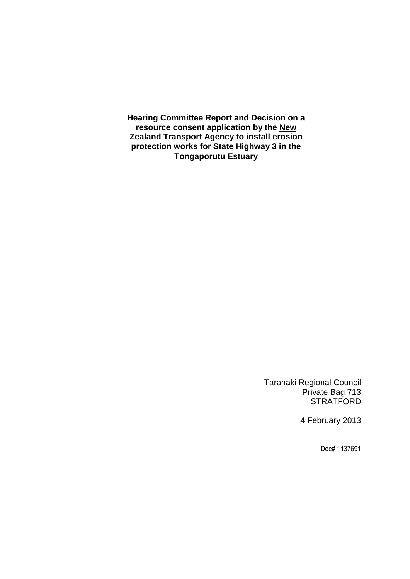**Hearing Committee Report and Decision on a resource consent application by the New Zealand Transport Agency to install erosion protection works for State Highway 3 in the Tongaporutu Estuary**

> Taranaki Regional Council Private Bag 713 **STRATFORD**

> > 4 February 2013

Doc# 1137691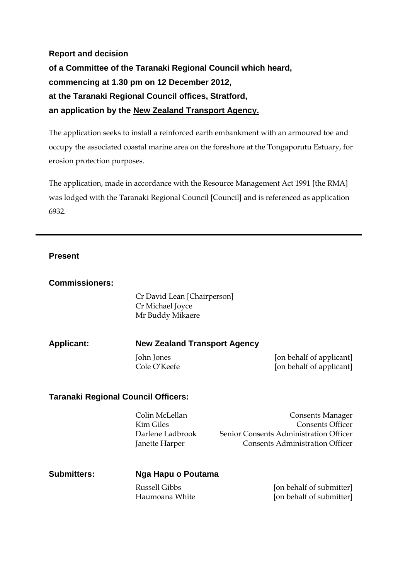**Report and decision of a Committee of the Taranaki Regional Council which heard, commencing at 1.30 pm on 12 December 2012, at the Taranaki Regional Council offices, Stratford, an application by the New Zealand Transport Agency.**

The application seeks to install a reinforced earth embankment with an armoured toe and occupy the associated coastal marine area on the foreshore at the Tongaporutu Estuary, for erosion protection purposes.

The application, made in accordance with the Resource Management Act 1991 [the RMA] was lodged with the Taranaki Regional Council [Council] and is referenced as application 6932.

### **Present**

| <b>Commissioners:</b>                      |                                                                          |                                                                                                                                        |
|--------------------------------------------|--------------------------------------------------------------------------|----------------------------------------------------------------------------------------------------------------------------------------|
|                                            | Cr David Lean [Chairperson]<br>Cr Michael Joyce<br>Mr Buddy Mikaere      |                                                                                                                                        |
| <b>Applicant:</b>                          | <b>New Zealand Transport Agency</b>                                      |                                                                                                                                        |
|                                            | John Jones<br>Cole O'Keefe                                               | [on behalf of applicant]<br>[on behalf of applicant]                                                                                   |
| <b>Taranaki Regional Council Officers:</b> |                                                                          |                                                                                                                                        |
|                                            | Colin McLellan<br><b>Kim Giles</b><br>Darlene Ladbrook<br>Janette Harper | <b>Consents Manager</b><br><b>Consents Officer</b><br>Senior Consents Administration Officer<br><b>Consents Administration Officer</b> |
| <b>Submitters:</b>                         | Nga Hapu o Poutama                                                       |                                                                                                                                        |
|                                            | <b>Russell Gibbs</b><br>Haumoana White                                   | [on behalf of submitter]<br>[on behalf of submitter]                                                                                   |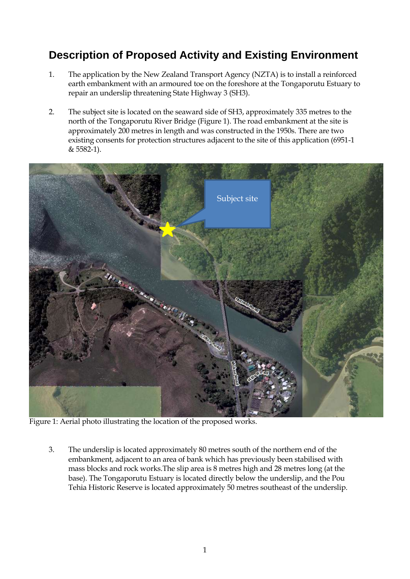# **Description of Proposed Activity and Existing Environment**

- 1. The application by the New Zealand Transport Agency (NZTA) is to install a reinforced earth embankment with an armoured toe on the foreshore at the Tongaporutu Estuary to repair an underslip threatening State Highway 3 (SH3).
- 2. The subject site is located on the seaward side of SH3, approximately 335 metres to the north of the Tongaporutu River Bridge (Figure 1). The road embankment at the site is approximately 200 metres in length and was constructed in the 1950s. There are two existing consents for protection structures adjacent to the site of this application (6951-1 & 5582-1).



Figure 1: Aerial photo illustrating the location of the proposed works.

3. The underslip is located approximately 80 metres south of the northern end of the embankment, adjacent to an area of bank which has previously been stabilised with mass blocks and rock works.The slip area is 8 metres high and 28 metres long (at the base). The Tongaporutu Estuary is located directly below the underslip, and the Pou Tehia Historic Reserve is located approximately 50 metres southeast of the underslip.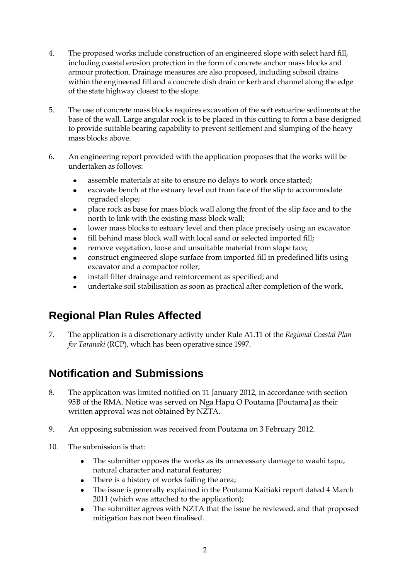- 4. The proposed works include construction of an engineered slope with select hard fill, including coastal erosion protection in the form of concrete anchor mass blocks and armour protection. Drainage measures are also proposed, including subsoil drains within the engineered fill and a concrete dish drain or kerb and channel along the edge of the state highway closest to the slope.
- 5. The use of concrete mass blocks requires excavation of the soft estuarine sediments at the base of the wall. Large angular rock is to be placed in this cutting to form a base designed to provide suitable bearing capability to prevent settlement and slumping of the heavy mass blocks above.
- 6. An engineering report provided with the application proposes that the works will be undertaken as follows:
	- assemble materials at site to ensure no delays to work once started;
	- excavate bench at the estuary level out from face of the slip to accommodate  $\bullet$ regraded slope;
	- place rock as base for mass block wall along the front of the slip face and to the  $\bullet$ north to link with the existing mass block wall;
	- lower mass blocks to estuary level and then place precisely using an excavator
	- fill behind mass block wall with local sand or selected imported fill;
	- remove vegetation, loose and unsuitable material from slope face;  $\bullet$
	- construct engineered slope surface from imported fill in predefined lifts using excavator and a compactor roller;
	- install filter drainage and reinforcement as specified; and
	- undertake soil stabilisation as soon as practical after completion of the work.

## **Regional Plan Rules Affected**

7. The application is a discretionary activity under Rule A1.11 of the *Regional Coastal Plan for Taranaki* (RCP), which has been operative since 1997.

## **Notification and Submissions**

- 8. The application was limited notified on 11 January 2012, in accordance with section 95B of the RMA. Notice was served on Nga Hapu O Poutama [Poutama] as their written approval was not obtained by NZTA.
- 9. An opposing submission was received from Poutama on 3 February 2012.
- 10. The submission is that:
	- The submitter opposes the works as its unnecessary damage to waahi tapu, natural character and natural features;
	- There is a history of works failing the area;
	- The issue is generally explained in the Poutama Kaitiaki report dated 4 March 2011 (which was attached to the application);
	- The submitter agrees with NZTA that the issue be reviewed, and that proposed  $\bullet$ mitigation has not been finalised.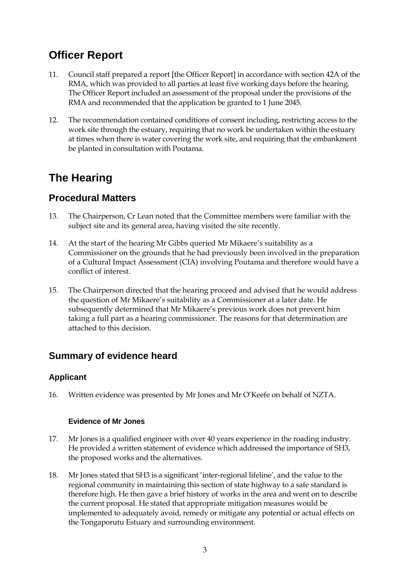## **Officer Report**

- 11. Council staff prepared a report [the Officer Report] in accordance with section 42A of the RMA, which was provided to all parties at least five working days before the hearing. The Officer Report included an assessment of the proposal under the provisions of the RMA and recommended that the application be granted to 1 June 2045.
- 12. The recommendation contained conditions of consent including, restricting access to the work site through the estuary, requiring that no work be undertaken within the estuary at times when there is water covering the work site, and requiring that the embankment be planted in consultation with Poutama.

# **The Hearing**

### **Procedural Matters**

- 13. The Chairperson, Cr Lean noted that the Committee members were familiar with the subject site and its general area, having visited the site recently.
- 14. At the start of the hearing Mr Gibbs queried Mr Mikaere's suitability as a Commissioner on the grounds that he had previously been involved in the preparation of a Cultural Impact Assessment (CIA) involving Poutama and therefore would have a conflict of interest.
- 15. The Chairperson directed that the hearing proceed and advised that he would address the question of Mr Mikaere's suitability as a Commissioner at a later date. He subsequently determined that Mr Mikaere's previous work does not prevent him taking a full part as a hearing commissioner. The reasons for that determination are attached to this decision.

### **Summary of evidence heard**

### **Applicant**

16. Written evidence was presented by Mr Jones and Mr O'Keefe on behalf of NZTA.

### **Evidence of Mr Jones**

- 17. Mr Jones is a qualified engineer with over 40 years experience in the roading industry. He provided a written statement of evidence which addressed the importance of SH3, the proposed works and the alternatives.
- 18. Mr Jones stated that SH3 is a significant 'inter-regional lifeline', and the value to the regional community in maintaining this section of state highway to a safe standard is therefore high. He then gave a brief history of works in the area and went on to describe the current proposal. He stated that appropriate mitigation measures would be implemented to adequately avoid, remedy or mitigate any potential or actual effects on the Tongaporutu Estuary and surrounding environment.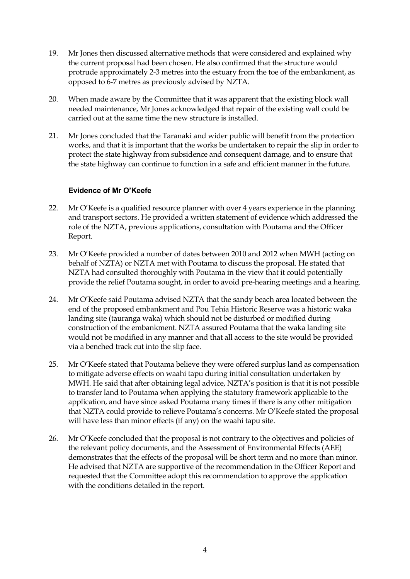- 19. Mr Jones then discussed alternative methods that were considered and explained why the current proposal had been chosen. He also confirmed that the structure would protrude approximately 2-3 metres into the estuary from the toe of the embankment, as opposed to 6-7 metres as previously advised by NZTA.
- 20. When made aware by the Committee that it was apparent that the existing block wall needed maintenance, Mr Jones acknowledged that repair of the existing wall could be carried out at the same time the new structure is installed.
- 21. Mr Jones concluded that the Taranaki and wider public will benefit from the protection works, and that it is important that the works be undertaken to repair the slip in order to protect the state highway from subsidence and consequent damage, and to ensure that the state highway can continue to function in a safe and efficient manner in the future.

#### **Evidence of Mr O'Keefe**

- 22. Mr O'Keefe is a qualified resource planner with over 4 years experience in the planning and transport sectors. He provided a written statement of evidence which addressed the role of the NZTA, previous applications, consultation with Poutama and the Officer Report.
- 23. Mr O'Keefe provided a number of dates between 2010 and 2012 when MWH (acting on behalf of NZTA) or NZTA met with Poutama to discuss the proposal. He stated that NZTA had consulted thoroughly with Poutama in the view that it could potentially provide the relief Poutama sought, in order to avoid pre-hearing meetings and a hearing.
- 24. Mr O'Keefe said Poutama advised NZTA that the sandy beach area located between the end of the proposed embankment and Pou Tehia Historic Reserve was a historic waka landing site (tauranga waka) which should not be disturbed or modified during construction of the embankment. NZTA assured Poutama that the waka landing site would not be modified in any manner and that all access to the site would be provided via a benched track cut into the slip face.
- 25. Mr O'Keefe stated that Poutama believe they were offered surplus land as compensation to mitigate adverse effects on waahi tapu during initial consultation undertaken by MWH. He said that after obtaining legal advice, NZTA's position is that it is not possible to transfer land to Poutama when applying the statutory framework applicable to the application, and have since asked Poutama many times if there is any other mitigation that NZTA could provide to relieve Poutama's concerns. Mr O'Keefe stated the proposal will have less than minor effects (if any) on the waahi tapu site.
- 26. Mr O'Keefe concluded that the proposal is not contrary to the objectives and policies of the relevant policy documents, and the Assessment of Environmental Effects (AEE) demonstrates that the effects of the proposal will be short term and no more than minor. He advised that NZTA are supportive of the recommendation in the Officer Report and requested that the Committee adopt this recommendation to approve the application with the conditions detailed in the report.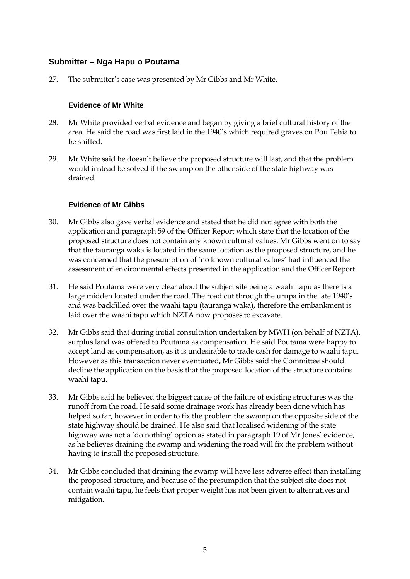### **Submitter – Nga Hapu o Poutama**

27. The submitter's case was presented by Mr Gibbs and Mr White.

#### **Evidence of Mr White**

- 28. Mr White provided verbal evidence and began by giving a brief cultural history of the area. He said the road was first laid in the 1940's which required graves on Pou Tehia to be shifted.
- 29. Mr White said he doesn't believe the proposed structure will last, and that the problem would instead be solved if the swamp on the other side of the state highway was drained.

#### **Evidence of Mr Gibbs**

- 30. Mr Gibbs also gave verbal evidence and stated that he did not agree with both the application and paragraph 59 of the Officer Report which state that the location of the proposed structure does not contain any known cultural values. Mr Gibbs went on to say that the tauranga waka is located in the same location as the proposed structure, and he was concerned that the presumption of 'no known cultural values' had influenced the assessment of environmental effects presented in the application and the Officer Report.
- 31. He said Poutama were very clear about the subject site being a waahi tapu as there is a large midden located under the road. The road cut through the urupa in the late 1940's and was backfilled over the waahi tapu (tauranga waka), therefore the embankment is laid over the waahi tapu which NZTA now proposes to excavate.
- 32. Mr Gibbs said that during initial consultation undertaken by MWH (on behalf of NZTA), surplus land was offered to Poutama as compensation. He said Poutama were happy to accept land as compensation, as it is undesirable to trade cash for damage to waahi tapu. However as this transaction never eventuated, Mr Gibbs said the Committee should decline the application on the basis that the proposed location of the structure contains waahi tapu.
- 33. Mr Gibbs said he believed the biggest cause of the failure of existing structures was the runoff from the road. He said some drainage work has already been done which has helped so far, however in order to fix the problem the swamp on the opposite side of the state highway should be drained. He also said that localised widening of the state highway was not a 'do nothing' option as stated in paragraph 19 of Mr Jones' evidence, as he believes draining the swamp and widening the road will fix the problem without having to install the proposed structure.
- 34. Mr Gibbs concluded that draining the swamp will have less adverse effect than installing the proposed structure, and because of the presumption that the subject site does not contain waahi tapu, he feels that proper weight has not been given to alternatives and mitigation.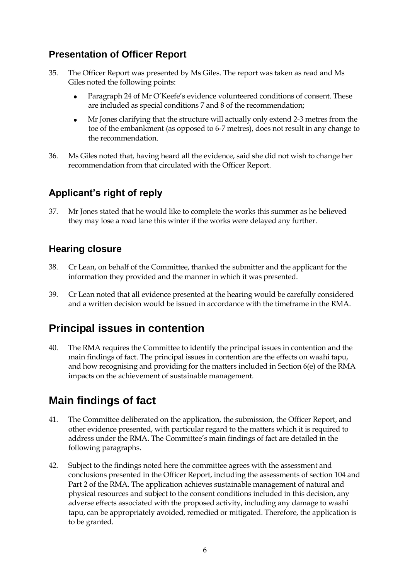### **Presentation of Officer Report**

- 35. The Officer Report was presented by Ms Giles. The report was taken as read and Ms Giles noted the following points:
	- Paragraph 24 of Mr O'Keefe's evidence volunteered conditions of consent. These  $\bullet$ are included as special conditions 7 and 8 of the recommendation;
	- Mr Jones clarifying that the structure will actually only extend 2-3 metres from the  $\bullet$ toe of the embankment (as opposed to 6-7 metres), does not result in any change to the recommendation.
- 36. Ms Giles noted that, having heard all the evidence, said she did not wish to change her recommendation from that circulated with the Officer Report.

## **Applicant's right of reply**

37. Mr Jones stated that he would like to complete the works this summer as he believed they may lose a road lane this winter if the works were delayed any further.

### **Hearing closure**

- 38. Cr Lean, on behalf of the Committee, thanked the submitter and the applicant for the information they provided and the manner in which it was presented.
- 39. Cr Lean noted that all evidence presented at the hearing would be carefully considered and a written decision would be issued in accordance with the timeframe in the RMA.

## **Principal issues in contention**

40. The RMA requires the Committee to identify the principal issues in contention and the main findings of fact. The principal issues in contention are the effects on waahi tapu, and how recognising and providing for the matters included in Section 6(e) of the RMA impacts on the achievement of sustainable management.

# **Main findings of fact**

- 41. The Committee deliberated on the application, the submission, the Officer Report, and other evidence presented, with particular regard to the matters which it is required to address under the RMA. The Committee's main findings of fact are detailed in the following paragraphs.
- 42. Subject to the findings noted here the committee agrees with the assessment and conclusions presented in the Officer Report, including the assessments of section 104 and Part 2 of the RMA. The application achieves sustainable management of natural and physical resources and subject to the consent conditions included in this decision, any adverse effects associated with the proposed activity, including any damage to waahi tapu, can be appropriately avoided, remedied or mitigated. Therefore, the application is to be granted.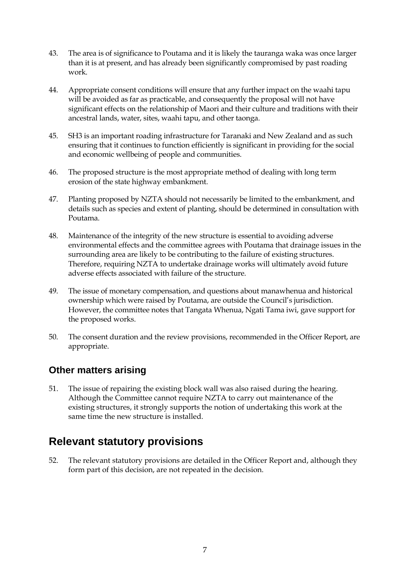- 43. The area is of significance to Poutama and it is likely the tauranga waka was once larger than it is at present, and has already been significantly compromised by past roading work.
- 44. Appropriate consent conditions will ensure that any further impact on the waahi tapu will be avoided as far as practicable, and consequently the proposal will not have significant effects on the relationship of Maori and their culture and traditions with their ancestral lands, water, sites, waahi tapu, and other taonga.
- 45. SH3 is an important roading infrastructure for Taranaki and New Zealand and as such ensuring that it continues to function efficiently is significant in providing for the social and economic wellbeing of people and communities.
- 46. The proposed structure is the most appropriate method of dealing with long term erosion of the state highway embankment.
- 47. Planting proposed by NZTA should not necessarily be limited to the embankment, and details such as species and extent of planting, should be determined in consultation with Poutama.
- 48. Maintenance of the integrity of the new structure is essential to avoiding adverse environmental effects and the committee agrees with Poutama that drainage issues in the surrounding area are likely to be contributing to the failure of existing structures. Therefore, requiring NZTA to undertake drainage works will ultimately avoid future adverse effects associated with failure of the structure.
- 49. The issue of monetary compensation, and questions about manawhenua and historical ownership which were raised by Poutama, are outside the Council's jurisdiction. However, the committee notes that Tangata Whenua, Ngati Tama iwi, gave support for the proposed works.
- 50. The consent duration and the review provisions, recommended in the Officer Report, are appropriate.

### **Other matters arising**

51. The issue of repairing the existing block wall was also raised during the hearing. Although the Committee cannot require NZTA to carry out maintenance of the existing structures, it strongly supports the notion of undertaking this work at the same time the new structure is installed.

## **Relevant statutory provisions**

52. The relevant statutory provisions are detailed in the Officer Report and, although they form part of this decision, are not repeated in the decision.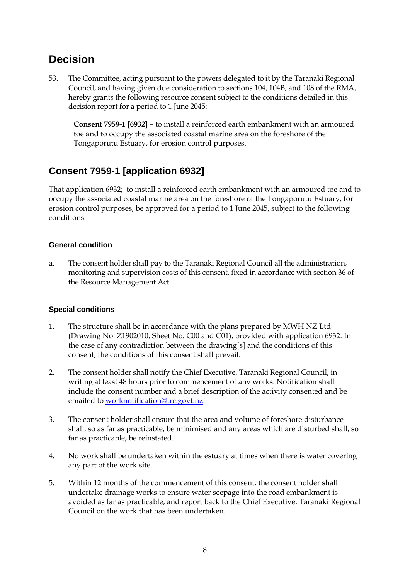## **Decision**

53. The Committee, acting pursuant to the powers delegated to it by the Taranaki Regional Council, and having given due consideration to sections 104, 104B, and 108 of the RMA, hereby grants the following resource consent subject to the conditions detailed in this decision report for a period to 1 June 2045:

**Consent 7959-1 [6932] –** to install a reinforced earth embankment with an armoured toe and to occupy the associated coastal marine area on the foreshore of the Tongaporutu Estuary, for erosion control purposes.

## **Consent 7959-1 [application 6932]**

That application 6932; to install a reinforced earth embankment with an armoured toe and to occupy the associated coastal marine area on the foreshore of the Tongaporutu Estuary, for erosion control purposes, be approved for a period to 1 June 2045, subject to the following conditions:

### **General condition**

a. The consent holder shall pay to the Taranaki Regional Council all the administration, monitoring and supervision costs of this consent, fixed in accordance with section 36 of the Resource Management Act.

### **Special conditions**

- 1. The structure shall be in accordance with the plans prepared by MWH NZ Ltd (Drawing No. Z1902010, Sheet No. C00 and C01), provided with application 6932. In the case of any contradiction between the drawing[s] and the conditions of this consent, the conditions of this consent shall prevail.
- 2. The consent holder shall notify the Chief Executive, Taranaki Regional Council, in writing at least 48 hours prior to commencement of any works. Notification shall include the consent number and a brief description of the activity consented and be emailed to [worknotification@trc.govt.nz.](mailto:worknotification@trc.govt.nz)
- 3. The consent holder shall ensure that the area and volume of foreshore disturbance shall, so as far as practicable, be minimised and any areas which are disturbed shall, so far as practicable, be reinstated.
- 4. No work shall be undertaken within the estuary at times when there is water covering any part of the work site.
- 5. Within 12 months of the commencement of this consent, the consent holder shall undertake drainage works to ensure water seepage into the road embankment is avoided as far as practicable, and report back to the Chief Executive, Taranaki Regional Council on the work that has been undertaken.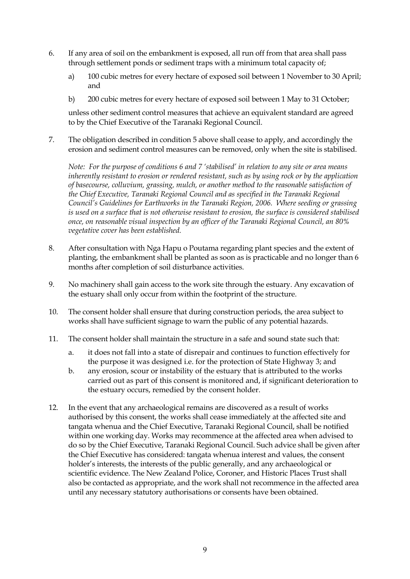- 6. If any area of soil on the embankment is exposed, all run off from that area shall pass through settlement ponds or sediment traps with a minimum total capacity of;
	- a) 100 cubic metres for every hectare of exposed soil between 1 November to 30 April; and
	- b) 200 cubic metres for every hectare of exposed soil between 1 May to 31 October;

unless other sediment control measures that achieve an equivalent standard are agreed to by the Chief Executive of the Taranaki Regional Council.

7. The obligation described in condition 5 above shall cease to apply, and accordingly the erosion and sediment control measures can be removed, only when the site is stabilised.

*Note: For the purpose of conditions 6 and 7 'stabilised' in relation to any site or area means inherently resistant to erosion or rendered resistant, such as by using rock or by the application of basecourse, colluvium, grassing, mulch, or another method to the reasonable satisfaction of the Chief Executive, Taranaki Regional Council and as specified in the Taranaki Regional Council's Guidelines for Earthworks in the Taranaki Region, 2006. Where seeding or grassing is used on a surface that is not otherwise resistant to erosion, the surface is considered stabilised once, on reasonable visual inspection by an officer of the Taranaki Regional Council, an 80% vegetative cover has been established.*

- 8. After consultation with Nga Hapu o Poutama regarding plant species and the extent of planting, the embankment shall be planted as soon as is practicable and no longer than 6 months after completion of soil disturbance activities.
- 9. No machinery shall gain access to the work site through the estuary. Any excavation of the estuary shall only occur from within the footprint of the structure.
- 10. The consent holder shall ensure that during construction periods, the area subject to works shall have sufficient signage to warn the public of any potential hazards.
- 11. The consent holder shall maintain the structure in a safe and sound state such that:
	- a. it does not fall into a state of disrepair and continues to function effectively for the purpose it was designed i.e. for the protection of State Highway 3; and
	- b. any erosion, scour or instability of the estuary that is attributed to the works carried out as part of this consent is monitored and, if significant deterioration to the estuary occurs, remedied by the consent holder.
- 12. In the event that any archaeological remains are discovered as a result of works authorised by this consent, the works shall cease immediately at the affected site and tangata whenua and the Chief Executive, Taranaki Regional Council, shall be notified within one working day. Works may recommence at the affected area when advised to do so by the Chief Executive, Taranaki Regional Council. Such advice shall be given after the Chief Executive has considered: tangata whenua interest and values, the consent holder's interests, the interests of the public generally, and any archaeological or scientific evidence. The New Zealand Police, Coroner, and Historic Places Trust shall also be contacted as appropriate, and the work shall not recommence in the affected area until any necessary statutory authorisations or consents have been obtained.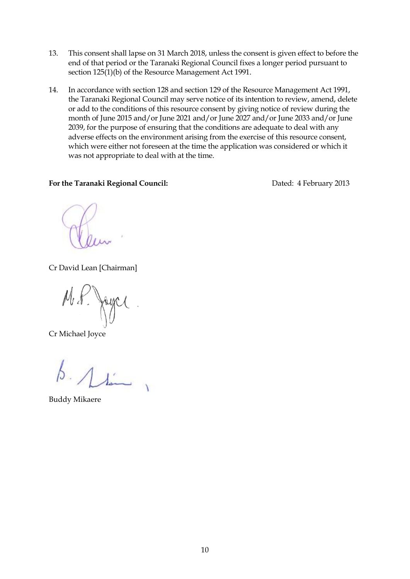- 13. This consent shall lapse on 31 March 2018, unless the consent is given effect to before the end of that period or the Taranaki Regional Council fixes a longer period pursuant to section  $125(1)(b)$  of the Resource Management Act 1991.
- 14. In accordance with section 128 and section 129 of the Resource Management Act 1991, the Taranaki Regional Council may serve notice of its intention to review, amend, delete or add to the conditions of this resource consent by giving notice of review during the month of June 2015 and/or June 2021 and/or June 2027 and/or June 2033 and/or June 2039, for the purpose of ensuring that the conditions are adequate to deal with any adverse effects on the environment arising from the exercise of this resource consent, which were either not foreseen at the time the application was considered or which it was not appropriate to deal with at the time.

#### For the Taranaki Regional Council: Dated: 4 February 2013

Cr David Lean [Chairman]

 $Mf$ Joyc

Cr Michael Joyce

 $\frac{1}{\sqrt{2}}$ 

Buddy Mikaere